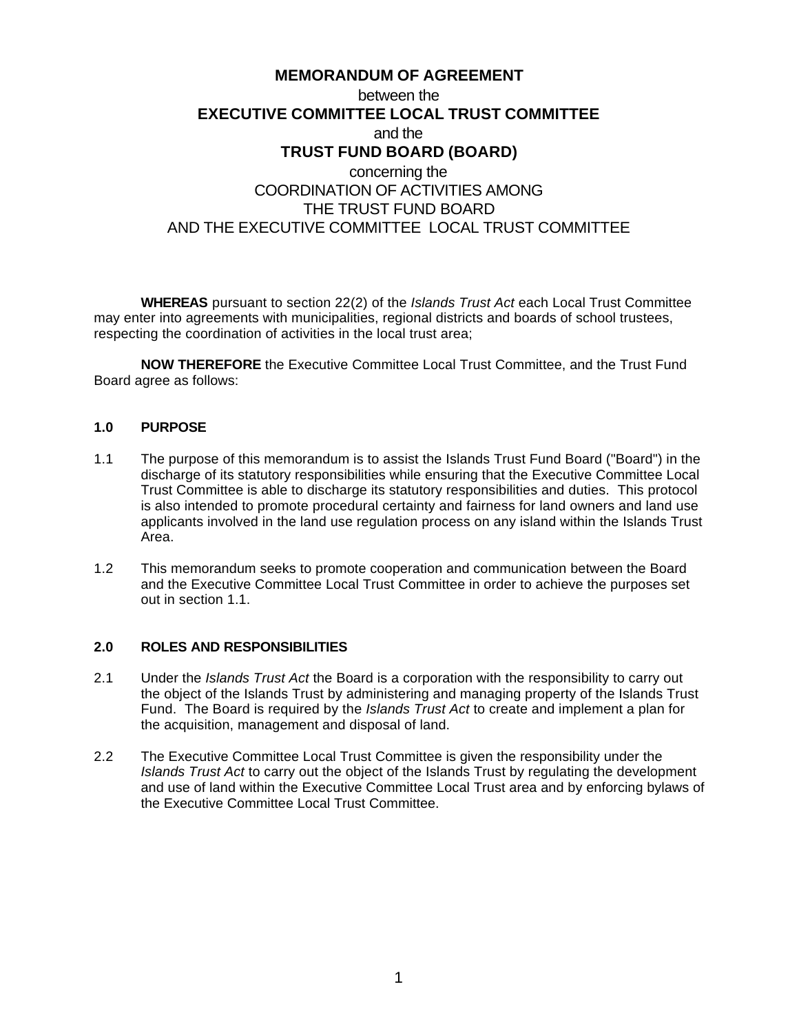# **MEMORANDUM OF AGREEMENT** between the **EXECUTIVE COMMITTEE LOCAL TRUST COMMITTEE** and the **TRUST FUND BOARD (BOARD)** concerning the COORDINATION OF ACTIVITIES AMONG THE TRUST FUND BOARD AND THE EXECUTIVE COMMITTEE LOCAL TRUST COMMITTEE

**WHEREAS** pursuant to section 22(2) of the *Islands Trust Act* each Local Trust Committee may enter into agreements with municipalities, regional districts and boards of school trustees, respecting the coordination of activities in the local trust area;

**NOW THEREFORE** the Executive Committee Local Trust Committee, and the Trust Fund Board agree as follows:

#### **1.0 PURPOSE**

- 1.1 The purpose of this memorandum is to assist the Islands Trust Fund Board ("Board") in the discharge of its statutory responsibilities while ensuring that the Executive Committee Local Trust Committee is able to discharge its statutory responsibilities and duties. This protocol is also intended to promote procedural certainty and fairness for land owners and land use applicants involved in the land use regulation process on any island within the Islands Trust Area.
- 1.2 This memorandum seeks to promote cooperation and communication between the Board and the Executive Committee Local Trust Committee in order to achieve the purposes set out in section 1.1.

# **2.0 ROLES AND RESPONSIBILITIES**

- 2.1 Under the *Islands Trust Act* the Board is a corporation with the responsibility to carry out the object of the Islands Trust by administering and managing property of the Islands Trust Fund. The Board is required by the *Islands Trust Act* to create and implement a plan for the acquisition, management and disposal of land.
- 2.2 The Executive Committee Local Trust Committee is given the responsibility under the *Islands Trust Act* to carry out the object of the Islands Trust by regulating the development and use of land within the Executive Committee Local Trust area and by enforcing bylaws of the Executive Committee Local Trust Committee.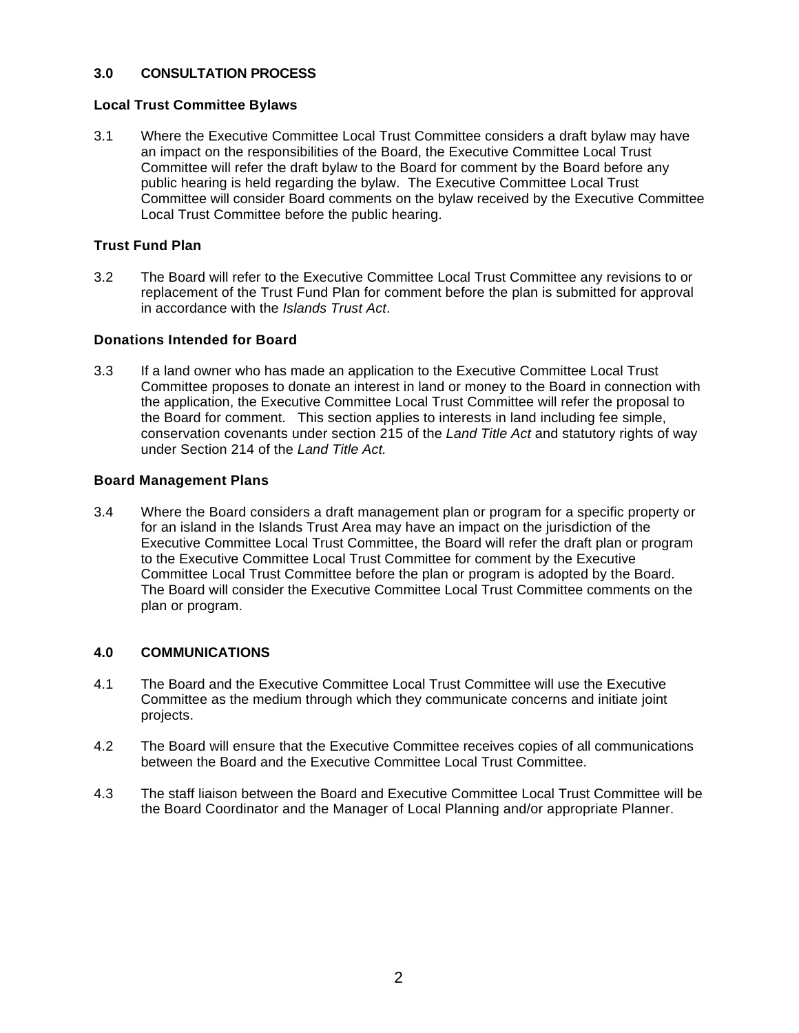# **3.0 CONSULTATION PROCESS**

# **Local Trust Committee Bylaws**

3.1 Where the Executive Committee Local Trust Committee considers a draft bylaw may have an impact on the responsibilities of the Board, the Executive Committee Local Trust Committee will refer the draft bylaw to the Board for comment by the Board before any public hearing is held regarding the bylaw. The Executive Committee Local Trust Committee will consider Board comments on the bylaw received by the Executive Committee Local Trust Committee before the public hearing.

## **Trust Fund Plan**

3.2 The Board will refer to the Executive Committee Local Trust Committee any revisions to or replacement of the Trust Fund Plan for comment before the plan is submitted for approval in accordance with the *Islands Trust Act*.

#### **Donations Intended for Board**

3.3 If a land owner who has made an application to the Executive Committee Local Trust Committee proposes to donate an interest in land or money to the Board in connection with the application, the Executive Committee Local Trust Committee will refer the proposal to the Board for comment. This section applies to interests in land including fee simple, conservation covenants under section 215 of the *Land Title Act* and statutory rights of way under Section 214 of the *Land Title Act.*

### **Board Management Plans**

3.4 Where the Board considers a draft management plan or program for a specific property or for an island in the Islands Trust Area may have an impact on the jurisdiction of the Executive Committee Local Trust Committee, the Board will refer the draft plan or program to the Executive Committee Local Trust Committee for comment by the Executive Committee Local Trust Committee before the plan or program is adopted by the Board. The Board will consider the Executive Committee Local Trust Committee comments on the plan or program.

# **4.0 COMMUNICATIONS**

- 4.1 The Board and the Executive Committee Local Trust Committee will use the Executive Committee as the medium through which they communicate concerns and initiate joint projects.
- 4.2 The Board will ensure that the Executive Committee receives copies of all communications between the Board and the Executive Committee Local Trust Committee.
- 4.3 The staff liaison between the Board and Executive Committee Local Trust Committee will be the Board Coordinator and the Manager of Local Planning and/or appropriate Planner.